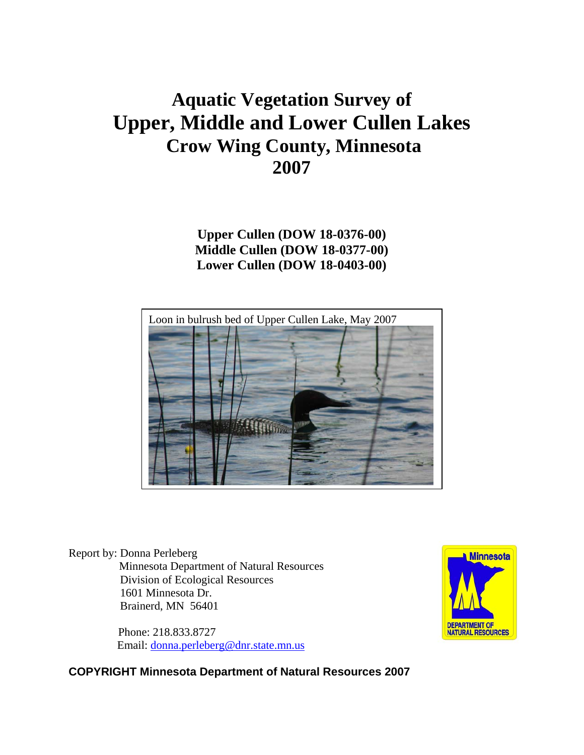# **Aquatic Vegetation Survey of Upper, Middle and Lower Cullen Lakes Crow Wing County, Minnesota 2007**

**Upper Cullen (DOW 18-0376-00) Middle Cullen (DOW 18-0377-00) Lower Cullen (DOW 18-0403-00)** 



Report by: Donna Perleberg Minnesota Department of Natural Resources Division of Ecological Resources 1601 Minnesota Dr. Brainerd, MN 56401

> Phone: 218.833.8727 Email: [donna.perleberg@dnr.state.mn.us](mailto:donna.perleberg@dnr.state.mn.us)



**COPYRIGHT Minnesota Department of Natural Resources 2007**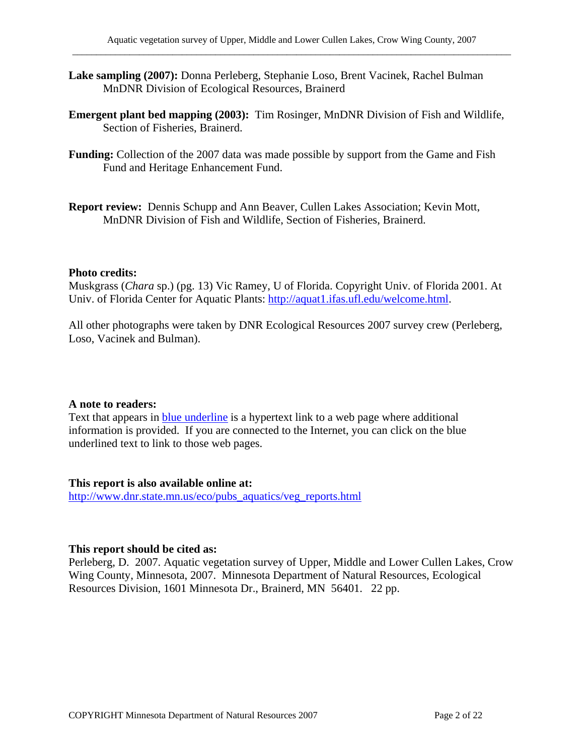- **Lake sampling (2007):** Donna Perleberg, Stephanie Loso, Brent Vacinek, Rachel Bulman MnDNR Division of Ecological Resources, Brainerd
- **Emergent plant bed mapping (2003):** Tim Rosinger, MnDNR Division of Fish and Wildlife, Section of Fisheries, Brainerd.
- **Funding:** Collection of the 2007 data was made possible by support from the Game and Fish Fund and Heritage Enhancement Fund.
- **Report review:** Dennis Schupp and Ann Beaver, Cullen Lakes Association; Kevin Mott, MnDNR Division of Fish and Wildlife, Section of Fisheries, Brainerd.

#### **Photo credits:**

Muskgrass (*Chara* sp.) (pg. 13) Vic Ramey, U of Florida. Copyright Univ. of Florida 2001. At Univ. of Florida Center for Aquatic Plants:<http://aquat1.ifas.ufl.edu/welcome.html>.

All other photographs were taken by DNR Ecological Resources 2007 survey crew (Perleberg, Loso, Vacinek and Bulman).

#### **A note to readers:**

Text that appears in blue underline is a hypertext link to a web page where additional information is provided. If you are connected to the Internet, you can click on the blue underlined text to link to those web pages.

#### **This report is also available online at:**

[http://www.dnr.state.mn.us/eco/pubs\\_aquatics/veg\\_reports.html](http://www.dnr.state.mn.us/eco/pubs_aquatics/veg_reports.html)

#### **This report should be cited as:**

Perleberg, D. 2007. Aquatic vegetation survey of Upper, Middle and Lower Cullen Lakes, Crow Wing County, Minnesota, 2007. Minnesota Department of Natural Resources, Ecological Resources Division, 1601 Minnesota Dr., Brainerd, MN 56401. 22 pp.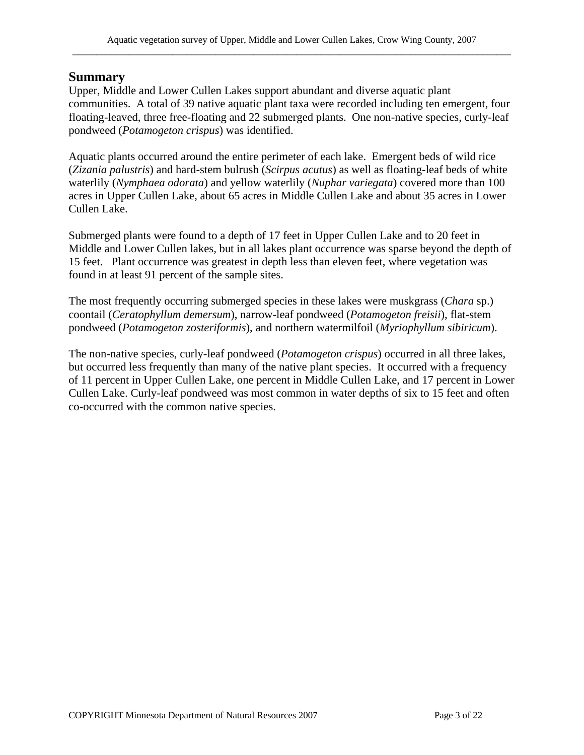#### **Summary**

Upper, Middle and Lower Cullen Lakes support abundant and diverse aquatic plant communities. A total of 39 native aquatic plant taxa were recorded including ten emergent, four floating-leaved, three free-floating and 22 submerged plants. One non-native species, curly-leaf pondweed (*Potamogeton crispus*) was identified.

Aquatic plants occurred around the entire perimeter of each lake. Emergent beds of wild rice (*Zizania palustris*) and hard-stem bulrush (*Scirpus acutus*) as well as floating-leaf beds of white waterlily (*Nymphaea odorata*) and yellow waterlily (*Nuphar variegata*) covered more than 100 acres in Upper Cullen Lake, about 65 acres in Middle Cullen Lake and about 35 acres in Lower Cullen Lake.

Submerged plants were found to a depth of 17 feet in Upper Cullen Lake and to 20 feet in Middle and Lower Cullen lakes, but in all lakes plant occurrence was sparse beyond the depth of 15 feet. Plant occurrence was greatest in depth less than eleven feet, where vegetation was found in at least 91 percent of the sample sites.

The most frequently occurring submerged species in these lakes were muskgrass (*Chara* sp.) coontail (*Ceratophyllum demersum*), narrow-leaf pondweed (*Potamogeton freisii*), flat-stem pondweed (*Potamogeton zosteriformis*), and northern watermilfoil (*Myriophyllum sibiricum*).

The non-native species, curly-leaf pondweed (*Potamogeton crispus*) occurred in all three lakes, but occurred less frequently than many of the native plant species. It occurred with a frequency of 11 percent in Upper Cullen Lake, one percent in Middle Cullen Lake, and 17 percent in Lower Cullen Lake. Curly-leaf pondweed was most common in water depths of six to 15 feet and often co-occurred with the common native species.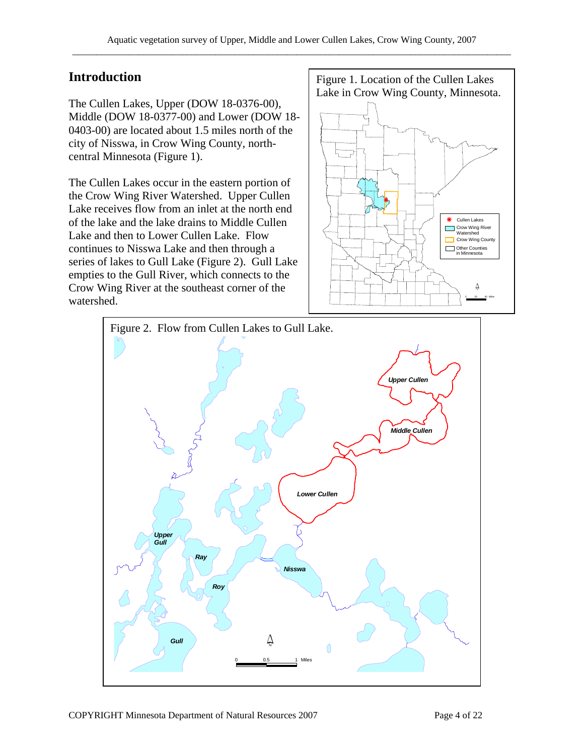The Cullen Lakes, Upper (DOW 18-0376-00), Middle (DOW 18-0377-00) and Lower (DOW 18- 0403-00) are located about 1.5 miles north of the city of Nisswa, in Crow Wing County, northcentral Minnesota (Figure 1).

The Cullen Lakes occur in the eastern portion of the Crow Wing River Watershed. Upper Cullen Lake receives flow from an inlet at the north end of the lake and the lake drains to Middle Cullen Lake and then to Lower Cullen Lake. Flow continues to Nisswa Lake and then through a series of lakes to Gull Lake (Figure 2). Gull Lake empties to the Gull River, which connects to the Crow Wing River at the southeast corner of the watershed.

**Introduction Figure 1. Location of the Cullen Lakes** Lake in Crow Wing County, Minnesota.



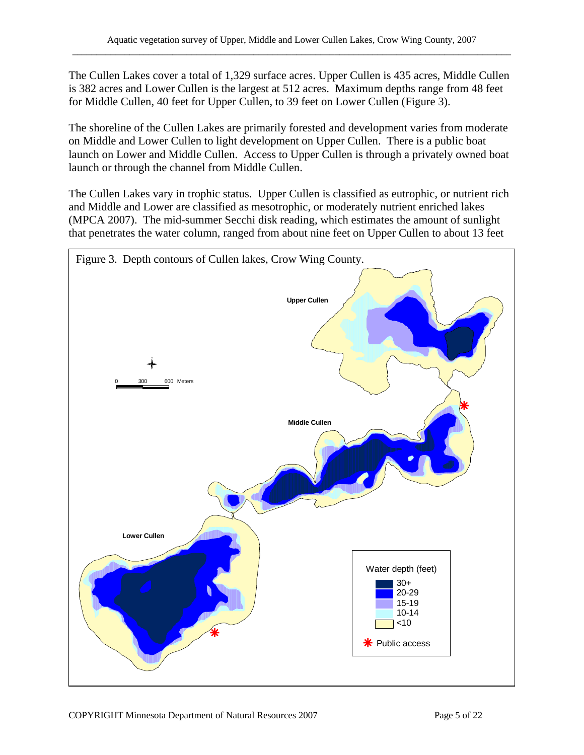The Cullen Lakes cover a total of 1,329 surface acres. Upper Cullen is 435 acres, Middle Cullen is 382 acres and Lower Cullen is the largest at 512 acres. Maximum depths range from 48 feet for Middle Cullen, 40 feet for Upper Cullen, to 39 feet on Lower Cullen (Figure 3).

The shoreline of the Cullen Lakes are primarily forested and development varies from moderate on Middle and Lower Cullen to light development on Upper Cullen. There is a public boat launch on Lower and Middle Cullen. Access to Upper Cullen is through a privately owned boat launch or through the channel from Middle Cullen.

The Cullen Lakes vary in trophic status. Upper Cullen is classified as eutrophic, or nutrient rich and Middle and Lower are classified as mesotrophic, or moderately nutrient enriched lakes (MPCA 2007). The mid-summer Secchi disk reading, which estimates the amount of sunlight that penetrates the water column, ranged from about nine feet on Upper Cullen to about 13 feet

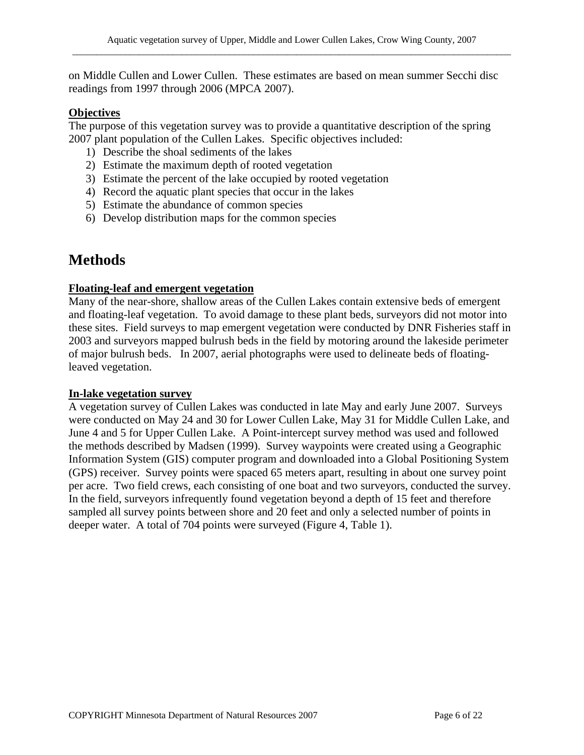on Middle Cullen and Lower Cullen. These estimates are based on mean summer Secchi disc readings from 1997 through 2006 (MPCA 2007).

#### **Objectives**

The purpose of this vegetation survey was to provide a quantitative description of the spring 2007 plant population of the Cullen Lakes. Specific objectives included:

- 1) Describe the shoal sediments of the lakes
- 2) Estimate the maximum depth of rooted vegetation
- 3) Estimate the percent of the lake occupied by rooted vegetation
- 4) Record the aquatic plant species that occur in the lakes
- 5) Estimate the abundance of common species
- 6) Develop distribution maps for the common species

# **Methods**

#### **Floating-leaf and emergent vegetation**

Many of the near-shore, shallow areas of the Cullen Lakes contain extensive beds of emergent and floating-leaf vegetation. To avoid damage to these plant beds, surveyors did not motor into these sites. Field surveys to map emergent vegetation were conducted by DNR Fisheries staff in 2003 and surveyors mapped bulrush beds in the field by motoring around the lakeside perimeter of major bulrush beds. In 2007, aerial photographs were used to delineate beds of floatingleaved vegetation.

#### **In-lake vegetation survey**

A vegetation survey of Cullen Lakes was conducted in late May and early June 2007. Surveys were conducted on May 24 and 30 for Lower Cullen Lake, May 31 for Middle Cullen Lake, and June 4 and 5 for Upper Cullen Lake. A Point-intercept survey method was used and followed the methods described by Madsen (1999). Survey waypoints were created using a Geographic Information System (GIS) computer program and downloaded into a Global Positioning System (GPS) receiver. Survey points were spaced 65 meters apart, resulting in about one survey point per acre. Two field crews, each consisting of one boat and two surveyors, conducted the survey. In the field, surveyors infrequently found vegetation beyond a depth of 15 feet and therefore sampled all survey points between shore and 20 feet and only a selected number of points in deeper water. A total of 704 points were surveyed (Figure 4, Table 1).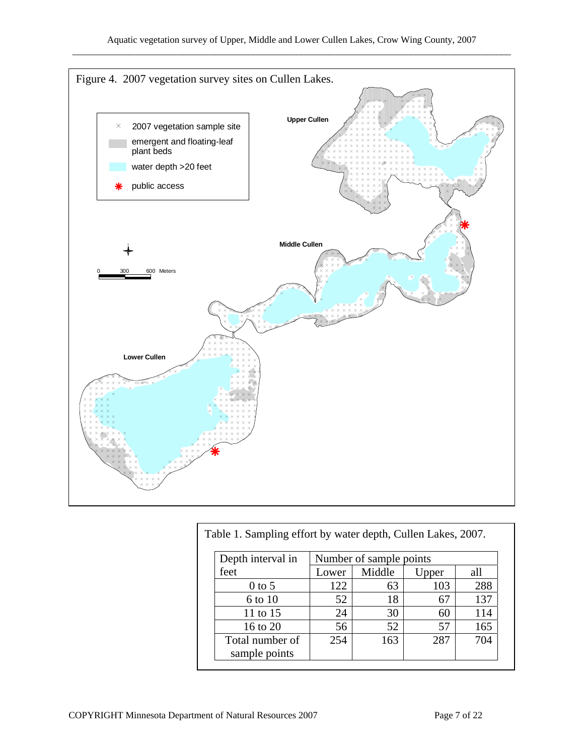

| Depth interval in | Number of sample points |        |       |     |
|-------------------|-------------------------|--------|-------|-----|
| feet              | Lower                   | Middle | Upper | all |
| $0$ to 5          | 122                     | 63     | 103   | 288 |
| 6 to 10           | 52                      | 18     | 67    | 137 |
| 11 to 15          | 24                      | 30     | 60    | 114 |
| 16 to 20          | 56                      | 52     | 57    | 165 |
| Total number of   | 254                     | 163    | 287   | 704 |
| sample points     |                         |        |       |     |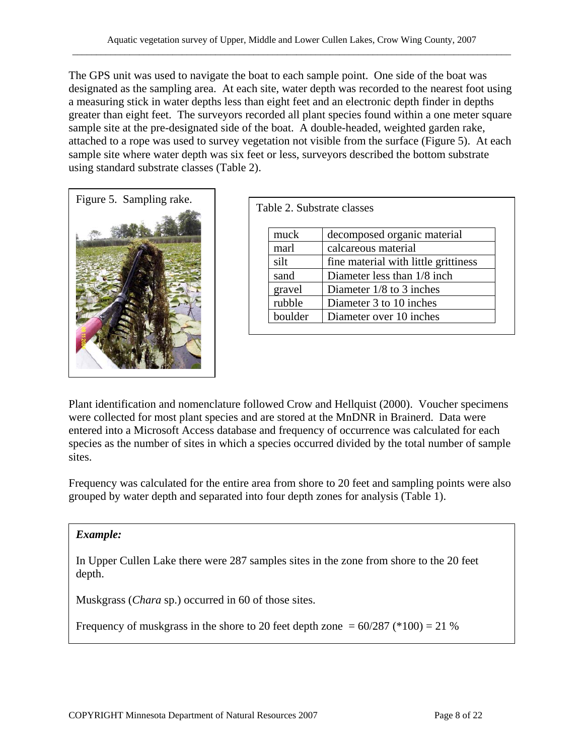The GPS unit was used to navigate the boat to each sample point. One side of the boat was designated as the sampling area. At each site, water depth was recorded to the nearest foot using a measuring stick in water depths less than eight feet and an electronic depth finder in depths greater than eight feet. The surveyors recorded all plant species found within a one meter square sample site at the pre-designated side of the boat. A double-headed, weighted garden rake, attached to a rope was used to survey vegetation not visible from the surface (Figure 5). At each sample site where water depth was six feet or less, surveyors described the bottom substrate using standard substrate classes (Table 2).



|         | Table 2. Substrate classes           |
|---------|--------------------------------------|
| muck    | decomposed organic material          |
| marl    | calcareous material                  |
| silt    | fine material with little grittiness |
| sand    | Diameter less than 1/8 inch.         |
| gravel  | Diameter $1/8$ to 3 inches           |
| rubble  | Diameter 3 to 10 inches              |
| boulder | Diameter over 10 inches              |

Plant identification and nomenclature followed Crow and Hellquist (2000). Voucher specimens were collected for most plant species and are stored at the MnDNR in Brainerd. Data were entered into a Microsoft Access database and frequency of occurrence was calculated for each species as the number of sites in which a species occurred divided by the total number of sample sites.

Frequency was calculated for the entire area from shore to 20 feet and sampling points were also grouped by water depth and separated into four depth zones for analysis (Table 1).

#### *Example:*

In Upper Cullen Lake there were 287 samples sites in the zone from shore to the 20 feet depth.

Muskgrass (*Chara* sp.) occurred in 60 of those sites.

Frequency of muskgrass in the shore to 20 feet depth zone  $= 60/287$  (\*100)  $= 21$  %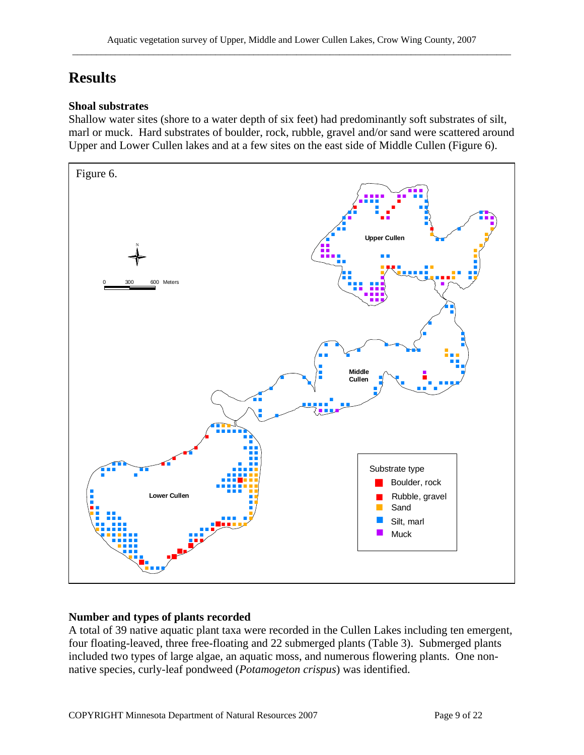# **Results**

#### **Shoal substrates**

Shallow water sites (shore to a water depth of six feet) had predominantly soft substrates of silt, marl or muck. Hard substrates of boulder, rock, rubble, gravel and/or sand were scattered around Upper and Lower Cullen lakes and at a few sites on the east side of Middle Cullen (Figure 6).



#### **Number and types of plants recorded**

A total of 39 native aquatic plant taxa were recorded in the Cullen Lakes including ten emergent, four floating-leaved, three free-floating and 22 submerged plants (Table 3). Submerged plants included two types of large algae, an aquatic moss, and numerous flowering plants. One nonnative species, curly-leaf pondweed (*Potamogeton crispus*) was identified.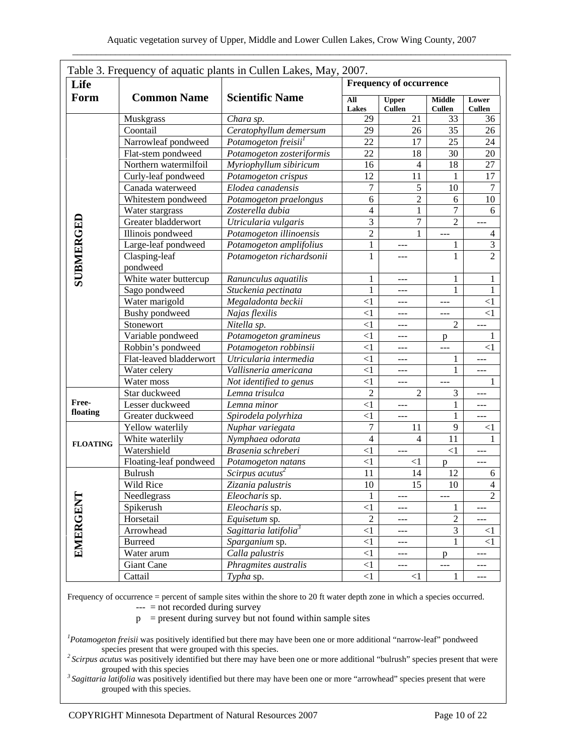| Life            |                           |                                   | Table 3. Frequency of aquatic plants in Cullen Lakes, May, 2007.<br><b>Frequency of occurrence</b> |                               |                                |                             |
|-----------------|---------------------------|-----------------------------------|----------------------------------------------------------------------------------------------------|-------------------------------|--------------------------------|-----------------------------|
|                 |                           |                                   |                                                                                                    |                               |                                |                             |
| Form            | <b>Common Name</b>        | <b>Scientific Name</b>            | All<br><b>Lakes</b>                                                                                | <b>Upper</b><br><b>Cullen</b> | <b>Middle</b><br><b>Cullen</b> | Lower<br><b>Cullen</b>      |
|                 | Muskgrass                 | Chara sp.                         | 29                                                                                                 | 21                            | 33                             | 36                          |
|                 | Coontail                  | Ceratophyllum demersum            | 29                                                                                                 | 26                            | 35                             | 26                          |
|                 | Narrowleaf pondweed       | Potamogeton freisii <sup>1</sup>  | 22                                                                                                 | 17                            | 25                             | 24                          |
|                 | Flat-stem pondweed        | Potamogeton zosteriformis         | 22                                                                                                 | 18                            | 30                             | 20                          |
|                 | Northern watermilfoil     | Myriophyllum sibiricum            | 16                                                                                                 | $\overline{4}$                | 18                             | 27                          |
|                 | Curly-leaf pondweed       | Potamogeton crispus               | 12                                                                                                 | 11                            | 1                              | 17                          |
|                 | Canada waterweed          | Elodea canadensis                 | 7                                                                                                  | 5                             | 10                             | $\overline{7}$              |
|                 | Whitestem pondweed        | Potamogeton praelongus            | 6                                                                                                  | $\overline{c}$                | 6                              | 10                          |
|                 | Water stargrass           | Zosterella dubia                  | $\overline{\mathcal{L}}$                                                                           | 1                             | $\overline{7}$                 | 6                           |
|                 | Greater bladderwort       | Utricularia vulgaris              | 3                                                                                                  | 7                             | $\overline{2}$                 | ---                         |
|                 | Illinois pondweed         | Potamogeton illinoensis           | $\overline{c}$                                                                                     | 1                             | ---                            | 4                           |
|                 | Large-leaf pondweed       | Potamogeton amplifolius           | $\mathbf{1}$                                                                                       | ---                           | 1                              | $\ensuremath{\mathfrak{Z}}$ |
| SUBMERGED       | Clasping-leaf<br>pondweed | Potamogeton richardsonii          | $\mathbf{1}$                                                                                       | ---                           | 1                              | $\overline{2}$              |
|                 | White water buttercup     | Ranunculus aquatilis              | $\mathbf{1}$                                                                                       | $---$                         | 1                              | 1                           |
|                 | Sago pondweed             | Stuckenia pectinata               | $\mathbf{1}$                                                                                       | ---                           | 1                              | $\mathbf{1}$                |
|                 | Water marigold            | Megaladonta beckii                | $\leq$ 1                                                                                           | ---                           |                                | $\leq$ 1                    |
|                 | <b>Bushy</b> pondweed     | Najas flexilis                    | $\leq$ 1                                                                                           | ---                           |                                | <1                          |
|                 | Stonewort                 | Nitella sp.                       | $\leq$ 1                                                                                           | ---                           | $\overline{2}$                 |                             |
|                 | Variable pondweed         | Potamogeton gramineus             | $\leq$ 1                                                                                           | ---                           | p                              | 1                           |
|                 | Robbin's pondweed         | Potamogeton robbinsii             | $\leq$ 1                                                                                           | ---                           | ---                            | $\leq$ 1                    |
|                 | Flat-leaved bladderwort   | Utricularia intermedia            | $\leq$ 1                                                                                           | ---                           | 1                              |                             |
|                 | Water celery              | Vallisneria americana             | $\leq$ 1                                                                                           | $---$                         | 1                              | ---                         |
|                 | Water moss                | Not identified to genus           | $\leq$ 1                                                                                           | $---$                         |                                | 1                           |
|                 | Star duckweed             | Lemna trisulca                    | $\overline{2}$                                                                                     | $\overline{2}$                | 3                              | ---                         |
| Free-           | Lesser duckweed           | Lemna minor                       | $\leq$ 1                                                                                           | ---                           | $\mathbf{1}$                   | ---                         |
| floating        | Greater duckweed          | Spirodela polyrhiza               | $\leq$ 1                                                                                           | ---                           | $\mathbf{1}$                   | ---                         |
|                 | Yellow waterlily          | Nuphar variegata                  | $\tau$                                                                                             | 11                            | 9                              | $\leq$ 1                    |
| <b>FLOATING</b> | White waterlily           | Nymphaea odorata                  | $\overline{4}$                                                                                     | $\overline{4}$                | 11                             | $\mathbf{1}$                |
|                 | Watershield               | Brasenia schreberi                | $\leq$ 1                                                                                           | ---                           | $<1\,$                         | ---                         |
|                 | Floating-leaf pondweed    | Potamogeton natans                | $\leq$ 1                                                                                           | $\leq$ 1                      | p                              | ---                         |
|                 | <b>Bulrush</b>            | Scirpus acutus <sup>2</sup>       | 11                                                                                                 | 14                            | 12                             | 6                           |
|                 | Wild Rice                 | Zizania palustris                 | $10\,$                                                                                             | 15                            | 10                             | $\overline{\mathbf{A}}$     |
|                 | Needlegrass               | Eleocharis sp.                    | $\mathbf{1}$                                                                                       | ---                           |                                | $\overline{2}$              |
| EMERGENT        | Spikerush                 | Eleocharis sp.                    | $\leq$ 1                                                                                           |                               | $\mathbf{1}$                   |                             |
|                 | Horsetail                 | Equisetum sp.                     | $\sqrt{2}$                                                                                         | $---$                         | $\mathbf{2}$                   |                             |
|                 | Arrowhead                 | Sagittaria latifolia <sup>3</sup> | $\leq$ 1                                                                                           | $---$                         | 3                              | $\leq$ 1                    |
|                 | <b>Burreed</b>            | Sparganium sp.                    | $\leq$ 1                                                                                           | ---                           | 1                              | $\leq$ 1                    |
|                 | Water arum                | Calla palustris                   | $\leq$ 1                                                                                           | ---                           | $\mathbf{p}$                   |                             |
|                 | <b>Giant Cane</b>         | Phragmites australis              | $\leq$ 1                                                                                           | ---                           | ---                            | ---                         |
|                 | Cattail                   | Typha sp.                         | $<1\,$                                                                                             | $<1\,$                        | $\mathbf{1}$                   | ---                         |

Frequency of occurrence = percent of sample sites within the shore to 20 ft water depth zone in which a species occurred.

 $---$  = not recorded during survey

 $p =$  present during survey but not found within sample sites

*1 Potamogeton freisii* was positively identified but there may have been one or more additional "narrow-leaf" pondweed

species present that were grouped with this species. *2 Scirpus acutus* was positively identified but there may have been one or more additional "bulrush" species present that were

<sup>3</sup> Sagittaria latifolia was positively identified but there may have been one or more "arrowhead" species present that were grouped with this species.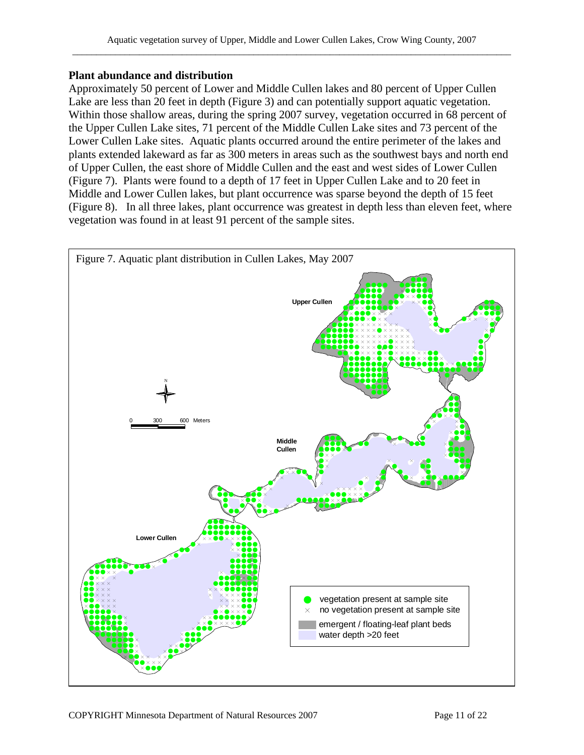#### **Plant abundance and distribution**

Approximately 50 percent of Lower and Middle Cullen lakes and 80 percent of Upper Cullen Lake are less than 20 feet in depth (Figure 3) and can potentially support aquatic vegetation. Within those shallow areas, during the spring 2007 survey, vegetation occurred in 68 percent of the Upper Cullen Lake sites, 71 percent of the Middle Cullen Lake sites and 73 percent of the Lower Cullen Lake sites. Aquatic plants occurred around the entire perimeter of the lakes and plants extended lakeward as far as 300 meters in areas such as the southwest bays and north end of Upper Cullen, the east shore of Middle Cullen and the east and west sides of Lower Cullen (Figure 7). Plants were found to a depth of 17 feet in Upper Cullen Lake and to 20 feet in Middle and Lower Cullen lakes, but plant occurrence was sparse beyond the depth of 15 feet (Figure 8). In all three lakes, plant occurrence was greatest in depth less than eleven feet, where vegetation was found in at least 91 percent of the sample sites.

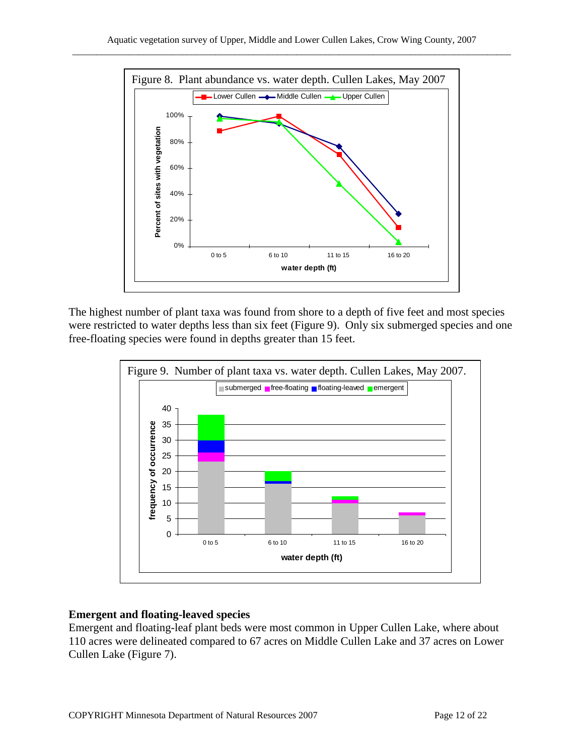

The highest number of plant taxa was found from shore to a depth of five feet and most species were restricted to water depths less than six feet (Figure 9). Only six submerged species and one free-floating species were found in depths greater than 15 feet.



#### **Emergent and floating-leaved species**

Emergent and floating-leaf plant beds were most common in Upper Cullen Lake, where about 110 acres were delineated compared to 67 acres on Middle Cullen Lake and 37 acres on Lower Cullen Lake (Figure 7).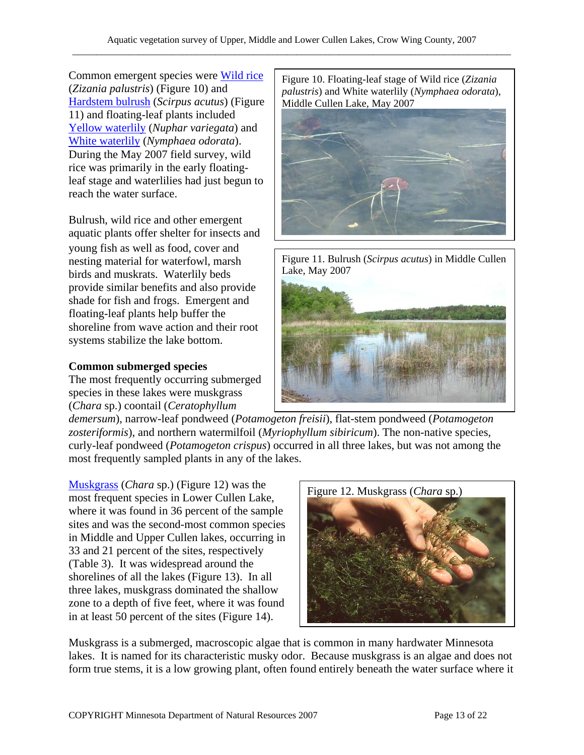Common emergent species were [Wild rice](http://www.dnr.state.mn.us/aquatic_plants/emergent_plants/wildrice.html) [Hardstem bulrush](http://www.dnr.state.mn.us/aquatic_plants/emergent_plants/bulrushes.html) (*Scirpus acutus*) (Figure | Middle Cullen Lake, May 2007 11) and floating-leaf plants included [Yellow waterlily](http://www.dnr.state.mn.us/aquatic_plants/floatingleaf_plants/spatterdock.html) (*Nuphar variegata*) and [White waterlily](http://www.dnr.state.mn.us/aquatic_plants/floatingleaf_plants/white_water_lily.html) (*Nymphaea odorata*). During the May 2007 field survey, wild rice was primarily in the early floatingleaf stage and waterlilies had just begun to reach the water surface.

Bulrush, wild rice and other emergent aquatic plants offer shelter for insects and young fish as well as food, cover and nesting material for waterfowl, marsh birds and muskrats. Waterlily beds provide similar benefits and also provide shade for fish and frogs. Emergent and floating-leaf plants help buffer the shoreline from wave action and their root systems stabilize the lake bottom.

#### **Common submerged species**

The most frequently occurring submerged species in these lakes were muskgrass (*Chara* sp.) coontail (*Ceratophyllum* 

Common emergent species were <u>wild rice</u><br>(*Zizania palustris*) (Figure 10) and *palustris*) and White waterlily (*Nymphaea odorata*),



Figure 11. Bulrush (*Scirpus acutus*) in Middle Cullen Lake, May 2007



*demersum*), narrow-leaf pondweed (*Potamogeton freisii*), flat-stem pondweed (*Potamogeton zosteriformis*), and northern watermilfoil (*Myriophyllum sibiricum*). The non-native species, curly-leaf pondweed (*Potamogeton crispus*) occurred in all three lakes, but was not among the most frequently sampled plants in any of the lakes.

[Muskgrass](http://www.dnr.state.mn.us/aquatic_plants/algae/chara.html) (*Chara* sp.) (Figure 12) was the most frequent species in Lower Cullen Lake, where it was found in 36 percent of the sample sites and was the second-most common species in Middle and Upper Cullen lakes, occurring in 33 and 21 percent of the sites, respectively (Table 3). It was widespread around the shorelines of all the lakes (Figure 13). In all three lakes, muskgrass dominated the shallow zone to a depth of five feet, where it was found in at least 50 percent of the sites (Figure 14).



Muskgrass is a submerged, macroscopic algae that is common in many hardwater Minnesota lakes. It is named for its characteristic musky odor. Because muskgrass is an algae and does not form true stems, it is a low growing plant, often found entirely beneath the water surface where it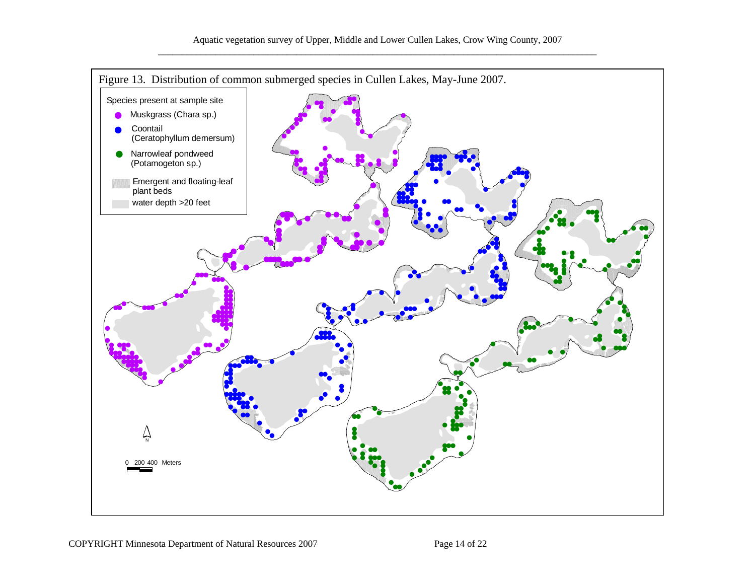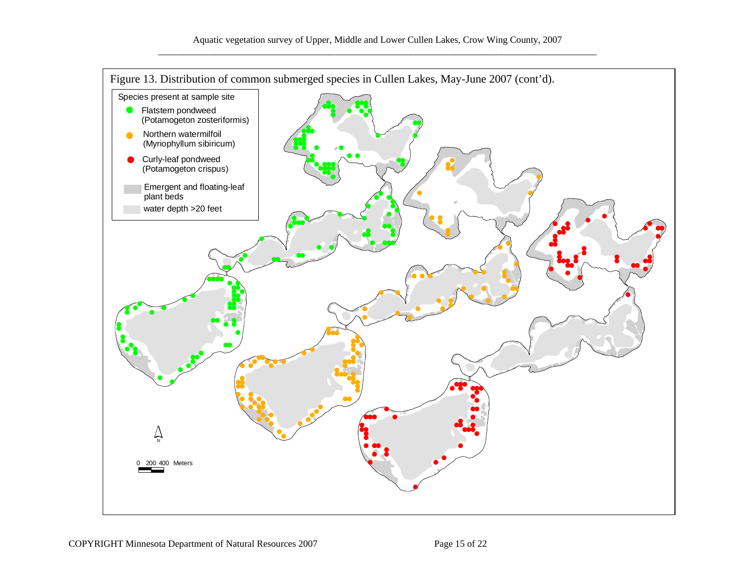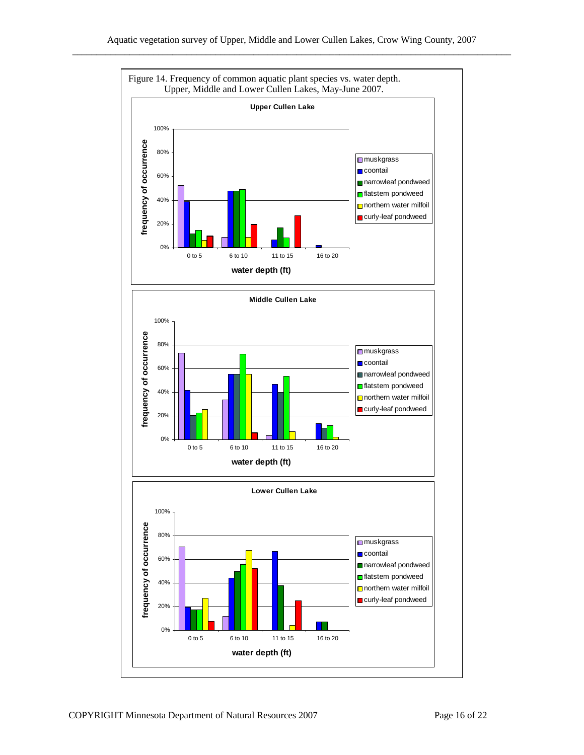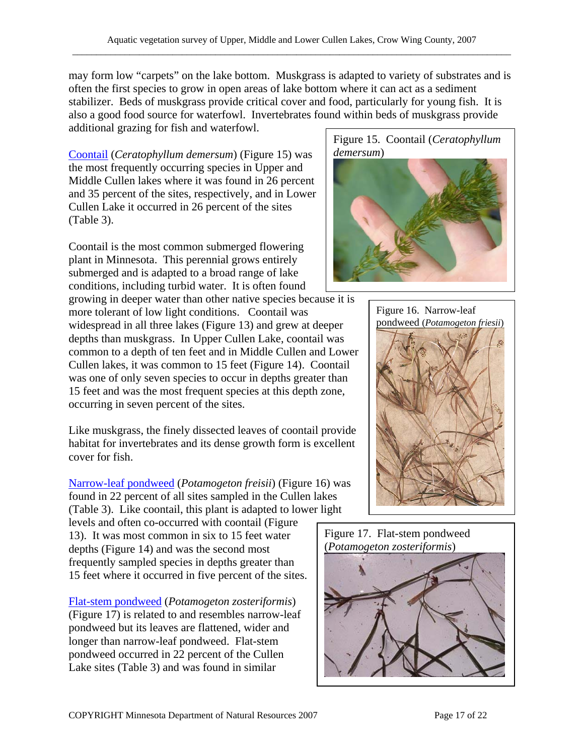may form low "carpets" on the lake bottom. Muskgrass is adapted to variety of substrates and is often the first species to grow in open areas of lake bottom where it can act as a sediment stabilizer. Beds of muskgrass provide critical cover and food, particularly for young fish. It is also a good food source for waterfowl. Invertebrates found within beds of muskgrass provide additional grazing for fish and waterfowl.

[Coontail](http://www.dnr.state.mn.us/aquatic_plants/submerged_plants/coontail.html) (*Ceratophyllum demersum*) (Figure 15) was the most frequently occurring species in Upper and Middle Cullen lakes where it was found in 26 percent and 35 percent of the sites, respectively, and in Lower Cullen Lake it occurred in 26 percent of the sites (Table 3).

Coontail is the most common submerged flowering plant in Minnesota. This perennial grows entirely submerged and is adapted to a broad range of lake conditions, including turbid water. It is often found

growing in deeper water than other native species because it is more tolerant of low light conditions. Coontail was widespread in all three lakes (Figure 13) and grew at deeper depths than muskgrass. In Upper Cullen Lake, coontail was common to a depth of ten feet and in Middle Cullen and Lower Cullen lakes, it was common to 15 feet (Figure 14). Coontail was one of only seven species to occur in depths greater than 15 feet and was the most frequent species at this depth zone, occurring in seven percent of the sites.

Like muskgrass, the finely dissected leaves of coontail provide habitat for invertebrates and its dense growth form is excellent cover for fish.

[Narrow-leaf pondweed](http://www.dnr.state.mn.us/aquatic_plants/submerged_plants/narrowleaf_pondweeds.html) (*Potamogeton freisii*) (Figure 16) was found in 22 percent of all sites sampled in the Cullen lakes (Table 3). Like coontail, this plant is adapted to lower light

levels and often co-occurred with coontail (Figure 13). It was most common in six to 15 feet water depths (Figure 14) and was the second most frequently sampled species in depths greater than 15 feet where it occurred in five percent of the sites.

[Flat-stem pondweed](http://www.dnr.state.mn.us/aquatic_plants/submerged_plants/narrowleaf_pondweeds.html) (*Potamogeton zosteriformis*) (Figure 17) is related to and resembles narrow-leaf pondweed but its leaves are flattened, wider and longer than narrow-leaf pondweed. Flat-stem pondweed occurred in 22 percent of the Cullen Lake sites (Table 3) and was found in similar







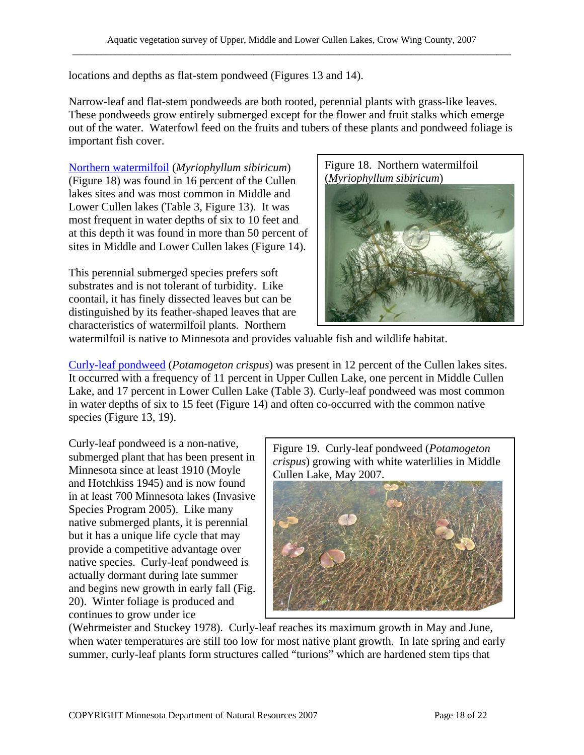locations and depths as flat-stem pondweed (Figures 13 and 14).

Narrow-leaf and flat-stem pondweeds are both rooted, perennial plants with grass-like leaves. These pondweeds grow entirely submerged except for the flower and fruit stalks which emerge out of the water. Waterfowl feed on the fruits and tubers of these plants and pondweed foliage is important fish cover.

[Northern watermilfoil](http://www.dnr.state.mn.us/aquatic_plants/submerged_plants/northern_watermilfoil.html) (*Myriophyllum sibiricum*) (Figure 18) was found in 16 percent of the Cullen lakes sites and was most common in Middle and Lower Cullen lakes (Table 3, Figure 13). It was most frequent in water depths of six to 10 feet and at this depth it was found in more than 50 percent of sites in Middle and Lower Cullen lakes (Figure 14).

This perennial submerged species prefers soft substrates and is not tolerant of turbidity. Like coontail, it has finely dissected leaves but can be distinguished by its feather-shaped leaves that are characteristics of watermilfoil plants. Northern

Figure 18. Northern watermilfoil (*Myriophyllum sibiricum*)



watermilfoil is native to Minnesota and provides valuable fish and wildlife habitat.

[Curly-leaf pondweed](http://www.dnr.state.mn.us/aquatic_plants/submerged_plants/curlyleaf_pondweed.html) (*Potamogeton crispus*) was present in 12 percent of the Cullen lakes sites. It occurred with a frequency of 11 percent in Upper Cullen Lake, one percent in Middle Cullen Lake, and 17 percent in Lower Cullen Lake (Table 3). Curly-leaf pondweed was most common in water depths of six to 15 feet (Figure 14) and often co-occurred with the common native species (Figure 13, 19).

Curly-leaf pondweed is a non-native, submerged plant that has been present in Minnesota since at least 1910 (Moyle and Hotchkiss 1945) and is now found in at least 700 Minnesota lakes (Invasive Species Program 2005). Like many native submerged plants, it is perennial but it has a unique life cycle that may provide a competitive advantage over native species. Curly-leaf pondweed is actually dormant during late summer and begins new growth in early fall (Fig. 20). Winter foliage is produced and continues to grow under ice

Figure 19. Curly-leaf pondweed (*Potamogeton crispus*) growing with white waterlilies in Middle Cullen Lake, May 2007.



(Wehrmeister and Stuckey 1978). Curly-leaf reaches its maximum growth in May and June, when water temperatures are still too low for most native plant growth. In late spring and early summer, curly-leaf plants form structures called "turions" which are hardened stem tips that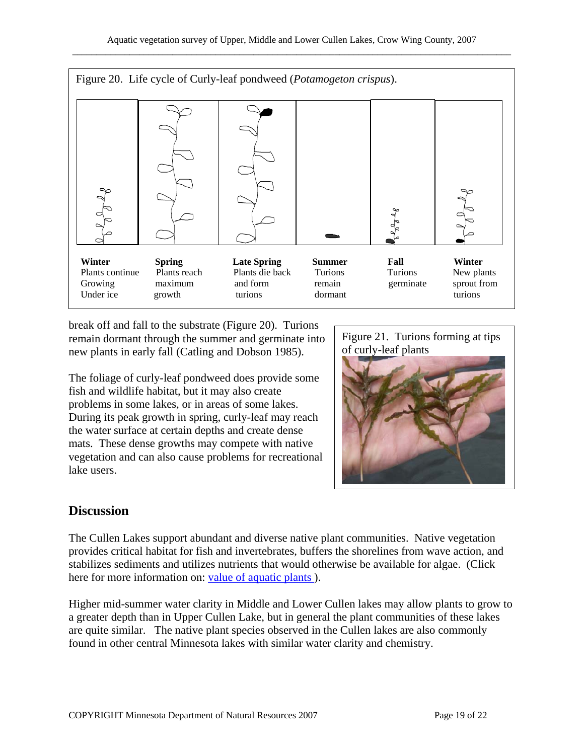

break off and fall to the substrate (Figure 20). Turions remain dormant through the summer and germinate into new plants in early fall (Catling and Dobson 1985).

The foliage of curly-leaf pondweed does provide some fish and wildlife habitat, but it may also create problems in some lakes, or in areas of some lakes. During its peak growth in spring, curly-leaf may reach the water surface at certain depths and create dense mats. These dense growths may compete with native vegetation and can also cause problems for recreational lake users.

Figure 21. Turions forming at tips of curly-leaf plants



## **Discussion**

The Cullen Lakes support abundant and diverse native plant communities. Native vegetation provides critical habitat for fish and invertebrates, buffers the shorelines from wave action, and stabilizes sediments and utilizes nutrients that would otherwise be available for algae. (Click here for more information on: value of aquatic plants).

Higher mid-summer water clarity in Middle and Lower Cullen lakes may allow plants to grow to a greater depth than in Upper Cullen Lake, but in general the plant communities of these lakes are quite similar. The native plant species observed in the Cullen lakes are also commonly found in other central Minnesota lakes with similar water clarity and chemistry.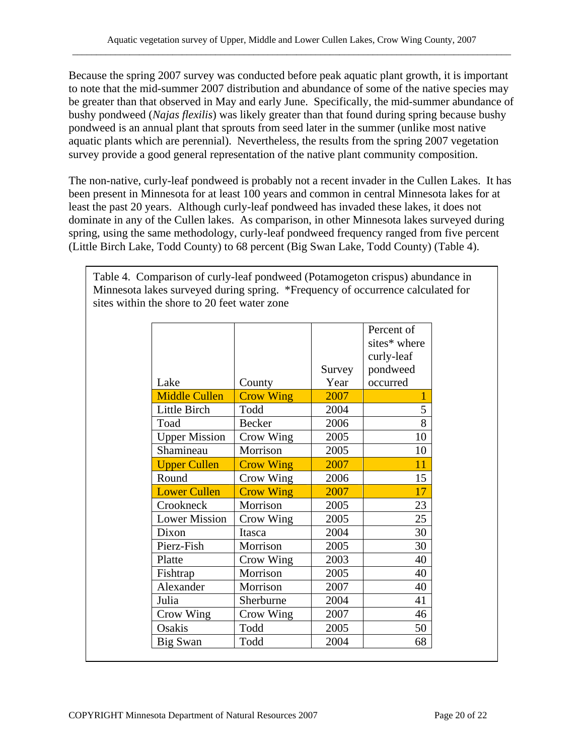Because the spring 2007 survey was conducted before peak aquatic plant growth, it is important to note that the mid-summer 2007 distribution and abundance of some of the native species may be greater than that observed in May and early June. Specifically, the mid-summer abundance of bushy pondweed (*Najas flexilis*) was likely greater than that found during spring because bushy pondweed is an annual plant that sprouts from seed later in the summer (unlike most native aquatic plants which are perennial). Nevertheless, the results from the spring 2007 vegetation survey provide a good general representation of the native plant community composition.

The non-native, curly-leaf pondweed is probably not a recent invader in the Cullen Lakes. It has been present in Minnesota for at least 100 years and common in central Minnesota lakes for at least the past 20 years. Although curly-leaf pondweed has invaded these lakes, it does not dominate in any of the Cullen lakes. As comparison, in other Minnesota lakes surveyed during spring, using the same methodology, curly-leaf pondweed frequency ranged from five percent (Little Birch Lake, Todd County) to 68 percent (Big Swan Lake, Todd County) (Table 4).

Table 4. Comparison of curly-leaf pondweed (Potamogeton crispus) abundance in Minnesota lakes surveyed during spring. \*Frequency of occurrence calculated for sites within the shore to 20 feet water zone

|                      |                  |        | Percent of<br>sites* where |
|----------------------|------------------|--------|----------------------------|
|                      |                  |        | curly-leaf                 |
|                      |                  | Survey | pondweed                   |
| Lake                 | County           | Year   | occurred                   |
| <b>Middle Cullen</b> | <b>Crow Wing</b> | 2007   | 1                          |
| Little Birch         | Todd             | 2004   | 5                          |
| Toad                 | <b>Becker</b>    | 2006   | 8                          |
| <b>Upper Mission</b> | Crow Wing        | 2005   | 10                         |
| Shamineau            | Morrison         | 2005   | 10                         |
| <b>Upper Cullen</b>  | <b>Crow Wing</b> | 2007   | 11                         |
| Round                | Crow Wing        | 2006   | 15                         |
| <b>Lower Cullen</b>  | <b>Crow Wing</b> | 2007   | 17                         |
| Crookneck            | Morrison         | 2005   | 23                         |
| <b>Lower Mission</b> | Crow Wing        | 2005   | 25                         |
| Dixon                | Itasca           | 2004   | 30                         |
| Pierz-Fish           | Morrison         | 2005   | 30                         |
| Platte               | Crow Wing        | 2003   | 40                         |
| Fishtrap             | Morrison         | 2005   | 40                         |
| Alexander            | Morrison         | 2007   | 40                         |
| Julia                | Sherburne        | 2004   | 41                         |
| Crow Wing            | Crow Wing        | 2007   | 46                         |
| Osakis               | Todd             | 2005   | 50                         |
| Big Swan             | Todd             | 2004   | 68                         |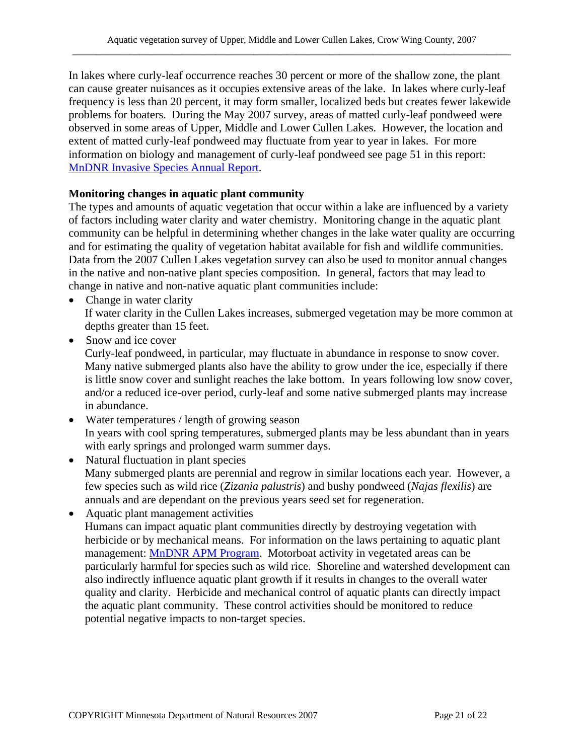In lakes where curly-leaf occurrence reaches 30 percent or more of the shallow zone, the plant can cause greater nuisances as it occupies extensive areas of the lake. In lakes where curly-leaf frequency is less than 20 percent, it may form smaller, localized beds but creates fewer lakewide problems for boaters. During the May 2007 survey, areas of matted curly-leaf pondweed were observed in some areas of Upper, Middle and Lower Cullen Lakes. However, the location and extent of matted curly-leaf pondweed may fluctuate from year to year in lakes. For more information on biology and management of curly-leaf pondweed see page 51 in this report: [MnDNR Invasive Species Annual Report](http://files.dnr.state.mn.us/ecological_services/invasives/annualreport.pdf).

#### **Monitoring changes in aquatic plant community**

The types and amounts of aquatic vegetation that occur within a lake are influenced by a variety of factors including water clarity and water chemistry. Monitoring change in the aquatic plant community can be helpful in determining whether changes in the lake water quality are occurring and for estimating the quality of vegetation habitat available for fish and wildlife communities. Data from the 2007 Cullen Lakes vegetation survey can also be used to monitor annual changes in the native and non-native plant species composition. In general, factors that may lead to change in native and non-native aquatic plant communities include:

- Change in water clarity If water clarity in the Cullen Lakes increases, submerged vegetation may be more common at depths greater than 15 feet.
- Snow and ice cover

Curly-leaf pondweed, in particular, may fluctuate in abundance in response to snow cover. Many native submerged plants also have the ability to grow under the ice, especially if there is little snow cover and sunlight reaches the lake bottom. In years following low snow cover, and/or a reduced ice-over period, curly-leaf and some native submerged plants may increase in abundance.

- Water temperatures / length of growing season In years with cool spring temperatures, submerged plants may be less abundant than in years with early springs and prolonged warm summer days.
- Natural fluctuation in plant species Many submerged plants are perennial and regrow in similar locations each year. However, a few species such as wild rice (*Zizania palustris*) and bushy pondweed (*Najas flexilis*) are annuals and are dependant on the previous years seed set for regeneration.
- Aquatic plant management activities Humans can impact aquatic plant communities directly by destroying vegetation with herbicide or by mechanical means. For information on the laws pertaining to aquatic plant management: [MnDNR APM Program.](http://www.dnr.state.mn.us/ecological_services/apm/index.html) Motorboat activity in vegetated areas can be particularly harmful for species such as wild rice. Shoreline and watershed development can also indirectly influence aquatic plant growth if it results in changes to the overall water quality and clarity. Herbicide and mechanical control of aquatic plants can directly impact the aquatic plant community. These control activities should be monitored to reduce potential negative impacts to non-target species.